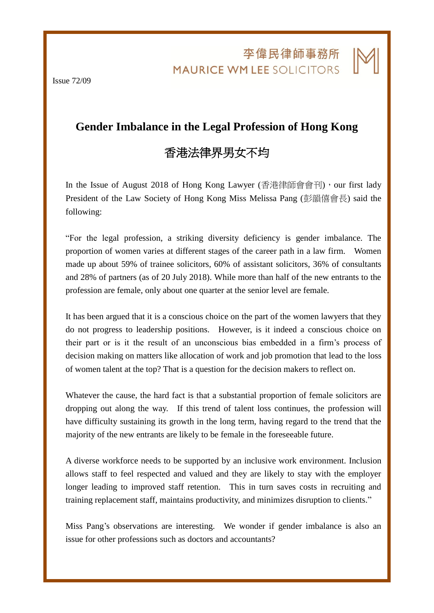李偉民律師事務所 **MAURICE WM LEE SOLICITORS** 

j

Issue 72/09

## **Gender Imbalance in the Legal Profession of Hong Kong**

## 香港法律界男女不均

In the Issue of August 2018 of Hong Kong Lawyer (香港律師會會刊), our first lady President of the Law Society of Hong Kong Miss Melissa Pang (彭韻僖會長) said the following:

"For the legal profession, a striking diversity deficiency is gender imbalance. The proportion of women varies at different stages of the career path in a law firm. Women made up about 59% of trainee solicitors, 60% of assistant solicitors, 36% of consultants and 28% of partners (as of 20 July 2018). While more than half of the new entrants to the profession are female, only about one quarter at the senior level are female.

It has been argued that it is a conscious choice on the part of the women lawyers that they do not progress to leadership positions. However, is it indeed a conscious choice on their part or is it the result of an unconscious bias embedded in a firm's process of decision making on matters like allocation of work and job promotion that lead to the loss of women talent at the top? That is a question for the decision makers to reflect on.

Whatever the cause, the hard fact is that a substantial proportion of female solicitors are dropping out along the way. If this trend of talent loss continues, the profession will have difficulty sustaining its growth in the long term, having regard to the trend that the majority of the new entrants are likely to be female in the foreseeable future.

A diverse workforce needs to be supported by an inclusive work environment. Inclusion allows staff to feel respected and valued and they are likely to stay with the employer longer leading to improved staff retention. This in turn saves costs in recruiting and training replacement staff, maintains productivity, and minimizes disruption to clients."

Miss Pang's observations are interesting. We wonder if gender imbalance is also an issue for other professions such as doctors and accountants?